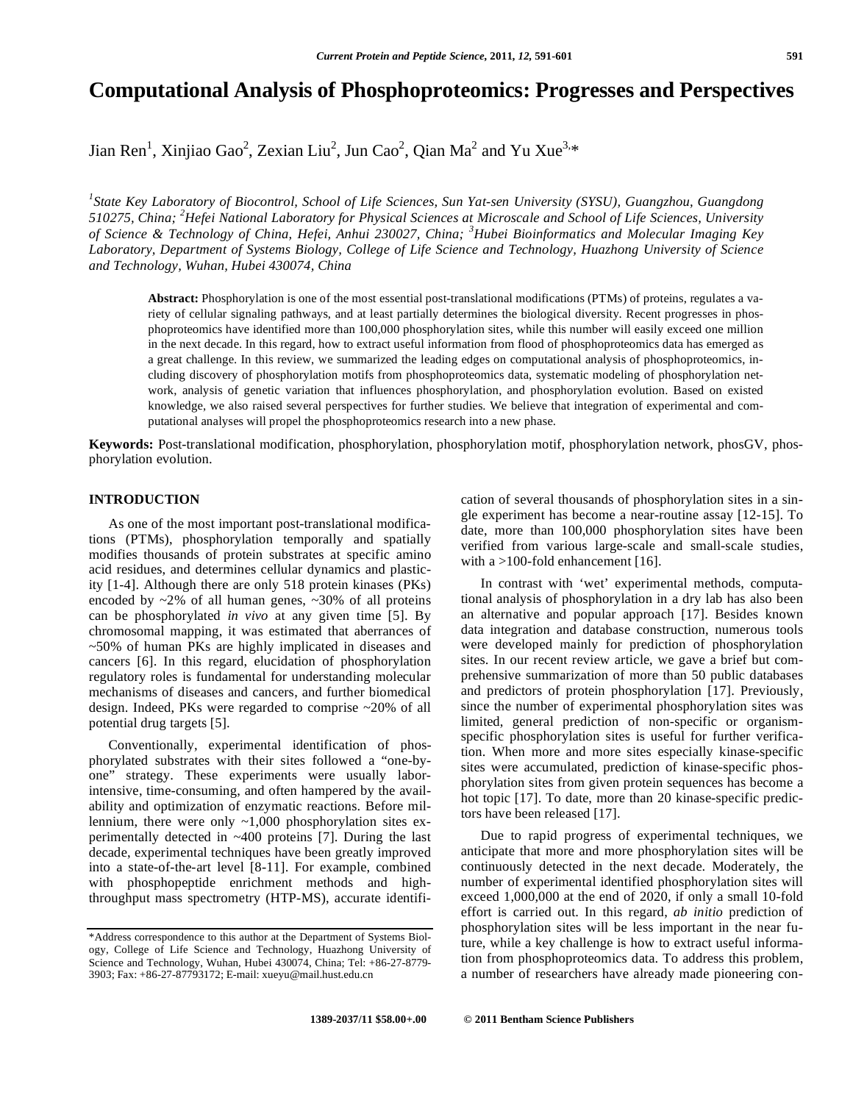# **Computational Analysis of Phosphoproteomics: Progresses and Perspectives**

Jian Ren<sup>1</sup>, Xinjiao Gao<sup>2</sup>, Zexian Liu<sup>2</sup>, Jun Cao<sup>2</sup>, Qian Ma<sup>2</sup> and Yu Xue<sup>3,\*</sup>

*1 State Key Laboratory of Biocontrol, School of Life Sciences, Sun Yat-sen University (SYSU), Guangzhou, Guangdong 510275, China; <sup>2</sup> Hefei National Laboratory for Physical Sciences at Microscale and School of Life Sciences, University of Science & Technology of China, Hefei, Anhui 230027, China; <sup>3</sup> Hubei Bioinformatics and Molecular Imaging Key Laboratory, Department of Systems Biology, College of Life Science and Technology, Huazhong University of Science and Technology, Wuhan, Hubei 430074, China* 

**Abstract:** Phosphorylation is one of the most essential post-translational modifications (PTMs) of proteins, regulates a variety of cellular signaling pathways, and at least partially determines the biological diversity. Recent progresses in phosphoproteomics have identified more than 100,000 phosphorylation sites, while this number will easily exceed one million in the next decade. In this regard, how to extract useful information from flood of phosphoproteomics data has emerged as a great challenge. In this review, we summarized the leading edges on computational analysis of phosphoproteomics, including discovery of phosphorylation motifs from phosphoproteomics data, systematic modeling of phosphorylation network, analysis of genetic variation that influences phosphorylation, and phosphorylation evolution. Based on existed knowledge, we also raised several perspectives for further studies. We believe that integration of experimental and computational analyses will propel the phosphoproteomics research into a new phase.

**Keywords:** Post-translational modification, phosphorylation, phosphorylation motif, phosphorylation network, phosGV, phosphorylation evolution.

#### **INTRODUCTION**

 As one of the most important post-translational modifications (PTMs), phosphorylation temporally and spatially modifies thousands of protein substrates at specific amino acid residues, and determines cellular dynamics and plasticity [1-4]. Although there are only 518 protein kinases (PKs) encoded by  $\sim$ 2% of all human genes,  $\sim$ 30% of all proteins can be phosphorylated *in vivo* at any given time [5]. By chromosomal mapping, it was estimated that aberrances of ~50% of human PKs are highly implicated in diseases and cancers [6]. In this regard, elucidation of phosphorylation regulatory roles is fundamental for understanding molecular mechanisms of diseases and cancers, and further biomedical design. Indeed, PKs were regarded to comprise ~20% of all potential drug targets [5].

 Conventionally, experimental identification of phosphorylated substrates with their sites followed a "one-byone" strategy. These experiments were usually laborintensive, time-consuming, and often hampered by the availability and optimization of enzymatic reactions. Before millennium, there were only  $\sim 1,000$  phosphorylation sites experimentally detected in ~400 proteins [7]. During the last decade, experimental techniques have been greatly improved into a state-of-the-art level [8-11]. For example, combined with phosphopeptide enrichment methods and highthroughput mass spectrometry (HTP-MS), accurate identification of several thousands of phosphorylation sites in a single experiment has become a near-routine assay [12-15]. To date, more than 100,000 phosphorylation sites have been verified from various large-scale and small-scale studies, with a >100-fold enhancement [16].

 In contrast with 'wet' experimental methods, computational analysis of phosphorylation in a dry lab has also been an alternative and popular approach [17]. Besides known data integration and database construction, numerous tools were developed mainly for prediction of phosphorylation sites. In our recent review article, we gave a brief but comprehensive summarization of more than 50 public databases and predictors of protein phosphorylation [17]. Previously, since the number of experimental phosphorylation sites was limited, general prediction of non-specific or organismspecific phosphorylation sites is useful for further verification. When more and more sites especially kinase-specific sites were accumulated, prediction of kinase-specific phosphorylation sites from given protein sequences has become a hot topic [17]. To date, more than 20 kinase-specific predictors have been released [17].

 Due to rapid progress of experimental techniques, we anticipate that more and more phosphorylation sites will be continuously detected in the next decade. Moderately, the number of experimental identified phosphorylation sites will exceed 1,000,000 at the end of 2020, if only a small 10-fold effort is carried out. In this regard, *ab initio* prediction of phosphorylation sites will be less important in the near future, while a key challenge is how to extract useful information from phosphoproteomics data. To address this problem, a number of researchers have already made pioneering con-

<sup>\*</sup>Address correspondence to this author at the Department of Systems Biology, College of Life Science and Technology, Huazhong University of Science and Technology, Wuhan, Hubei 430074, China; Tel: +86-27-8779- 3903; Fax: +86-27-87793172; E-mail: xueyu@mail.hust.edu.cn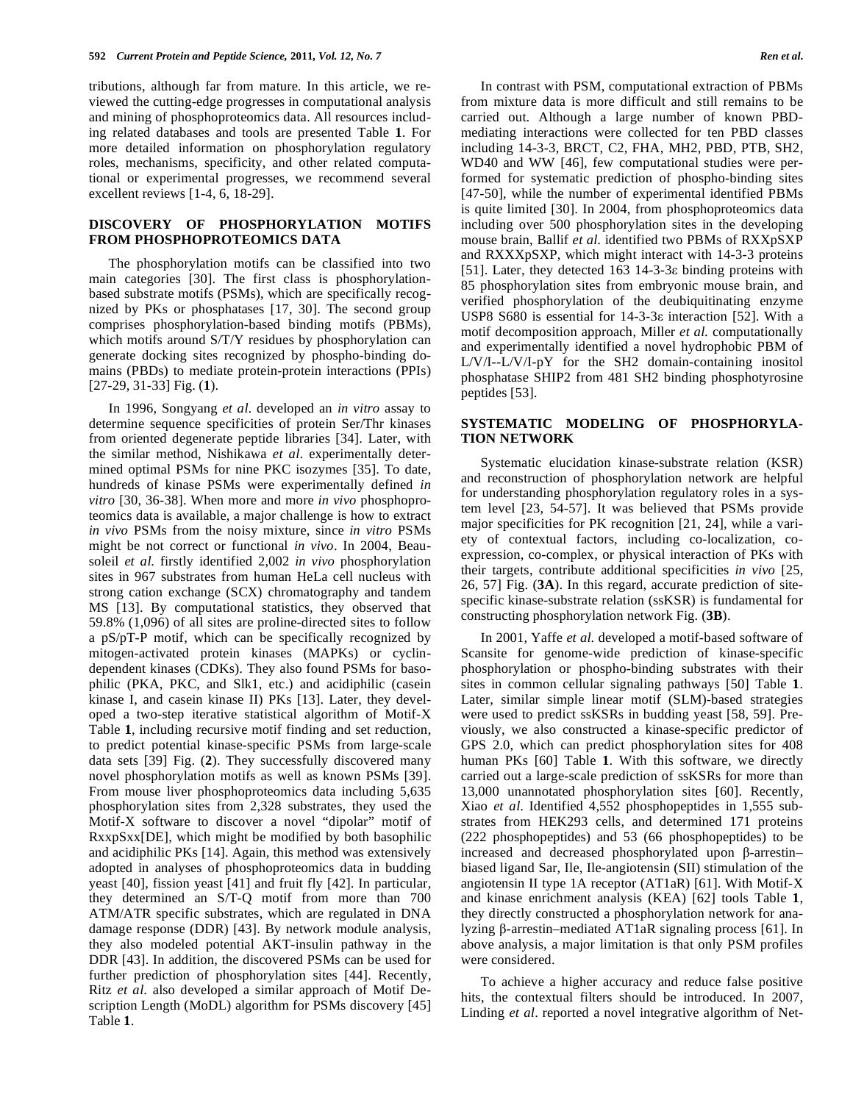tributions, although far from mature. In this article, we reviewed the cutting-edge progresses in computational analysis and mining of phosphoproteomics data. All resources including related databases and tools are presented Table **1**. For more detailed information on phosphorylation regulatory roles, mechanisms, specificity, and other related computational or experimental progresses, we recommend several excellent reviews [1-4, 6, 18-29].

#### **DISCOVERY OF PHOSPHORYLATION MOTIFS FROM PHOSPHOPROTEOMICS DATA**

 The phosphorylation motifs can be classified into two main categories [30]. The first class is phosphorylationbased substrate motifs (PSMs), which are specifically recognized by PKs or phosphatases [17, 30]. The second group comprises phosphorylation-based binding motifs (PBMs), which motifs around  $S/T/Y$  residues by phosphorylation can generate docking sites recognized by phospho-binding domains (PBDs) to mediate protein-protein interactions (PPIs) [27-29, 31-33] Fig. (**1**).

 In 1996, Songyang *et al*. developed an *in vitro* assay to determine sequence specificities of protein Ser/Thr kinases from oriented degenerate peptide libraries [34]. Later, with the similar method, Nishikawa *et al*. experimentally determined optimal PSMs for nine PKC isozymes [35]. To date, hundreds of kinase PSMs were experimentally defined *in vitro* [30, 36-38]. When more and more *in vivo* phosphoproteomics data is available, a major challenge is how to extract *in vivo* PSMs from the noisy mixture, since *in vitro* PSMs might be not correct or functional *in vivo*. In 2004, Beausoleil *et al*. firstly identified 2,002 *in vivo* phosphorylation sites in 967 substrates from human HeLa cell nucleus with strong cation exchange (SCX) chromatography and tandem MS [13]. By computational statistics, they observed that 59.8% (1,096) of all sites are proline-directed sites to follow a pS/pT-P motif, which can be specifically recognized by mitogen-activated protein kinases (MAPKs) or cyclindependent kinases (CDKs). They also found PSMs for basophilic (PKA, PKC, and Slk1, etc.) and acidiphilic (casein kinase I, and casein kinase II) PKs [13]. Later, they developed a two-step iterative statistical algorithm of Motif-X Table **1**, including recursive motif finding and set reduction, to predict potential kinase-specific PSMs from large-scale data sets [39] Fig. (**2**). They successfully discovered many novel phosphorylation motifs as well as known PSMs [39]. From mouse liver phosphoproteomics data including 5,635 phosphorylation sites from 2,328 substrates, they used the Motif-X software to discover a novel "dipolar" motif of RxxpSxx[DE], which might be modified by both basophilic and acidiphilic PKs [14]. Again, this method was extensively adopted in analyses of phosphoproteomics data in budding yeast [40], fission yeast [41] and fruit fly [42]. In particular, they determined an S/T-Q motif from more than 700 ATM/ATR specific substrates, which are regulated in DNA damage response (DDR) [43]. By network module analysis, they also modeled potential AKT-insulin pathway in the DDR [43]. In addition, the discovered PSMs can be used for further prediction of phosphorylation sites [44]. Recently, Ritz *et al*. also developed a similar approach of Motif Description Length (MoDL) algorithm for PSMs discovery [45] Table **1**.

 In contrast with PSM, computational extraction of PBMs from mixture data is more difficult and still remains to be carried out. Although a large number of known PBDmediating interactions were collected for ten PBD classes including 14-3-3, BRCT, C2, FHA, MH2, PBD, PTB, SH2, WD40 and WW [46], few computational studies were performed for systematic prediction of phospho-binding sites [47-50], while the number of experimental identified PBMs is quite limited [30]. In 2004, from phosphoproteomics data including over 500 phosphorylation sites in the developing mouse brain, Ballif *et al*. identified two PBMs of RXXpSXP and RXXXpSXP, which might interact with 14-3-3 proteins [51]. Later, they detected  $163$  14-3-3 $\varepsilon$  binding proteins with 85 phosphorylation sites from embryonic mouse brain, and verified phosphorylation of the deubiquitinating enzyme USP8 S680 is essential for  $14-3-3\varepsilon$  interaction [52]. With a motif decomposition approach, Miller *et al*. computationally and experimentally identified a novel hydrophobic PBM of L/V/I--L/V/I-pY for the SH2 domain-containing inositol phosphatase SHIP2 from 481 SH2 binding phosphotyrosine peptides [53].

### **SYSTEMATIC MODELING OF PHOSPHORYLA-TION NETWORK**

 Systematic elucidation kinase-substrate relation (KSR) and reconstruction of phosphorylation network are helpful for understanding phosphorylation regulatory roles in a system level [23, 54-57]. It was believed that PSMs provide major specificities for PK recognition [21, 24], while a variety of contextual factors, including co-localization, coexpression, co-complex, or physical interaction of PKs with their targets, contribute additional specificities *in vivo* [25, 26, 57] Fig. (**3A**). In this regard, accurate prediction of sitespecific kinase-substrate relation (ssKSR) is fundamental for constructing phosphorylation network Fig. (**3B**).

 In 2001, Yaffe *et al*. developed a motif-based software of Scansite for genome-wide prediction of kinase-specific phosphorylation or phospho-binding substrates with their sites in common cellular signaling pathways [50] Table **1**. Later, similar simple linear motif (SLM)-based strategies were used to predict ssKSRs in budding yeast [58, 59]. Previously, we also constructed a kinase-specific predictor of GPS 2.0, which can predict phosphorylation sites for 408 human PKs [60] Table **1**. With this software, we directly carried out a large-scale prediction of ssKSRs for more than 13,000 unannotated phosphorylation sites [60]. Recently, Xiao *et al*. Identified 4,552 phosphopeptides in 1,555 substrates from HEK293 cells, and determined 171 proteins (222 phosphopeptides) and 53 (66 phosphopeptides) to be increased and decreased phosphorylated upon  $\beta$ -arrestinbiased ligand Sar, Ile, Ile-angiotensin (SII) stimulation of the angiotensin II type 1A receptor (AT1aR) [61]. With Motif-X and kinase enrichment analysis (KEA) [62] tools Table **1**, they directly constructed a phosphorylation network for analyzing  $\beta$ -arrestin–mediated AT1aR signaling process [61]. In above analysis, a major limitation is that only PSM profiles were considered.

 To achieve a higher accuracy and reduce false positive hits, the contextual filters should be introduced. In 2007, Linding *et al*. reported a novel integrative algorithm of Net-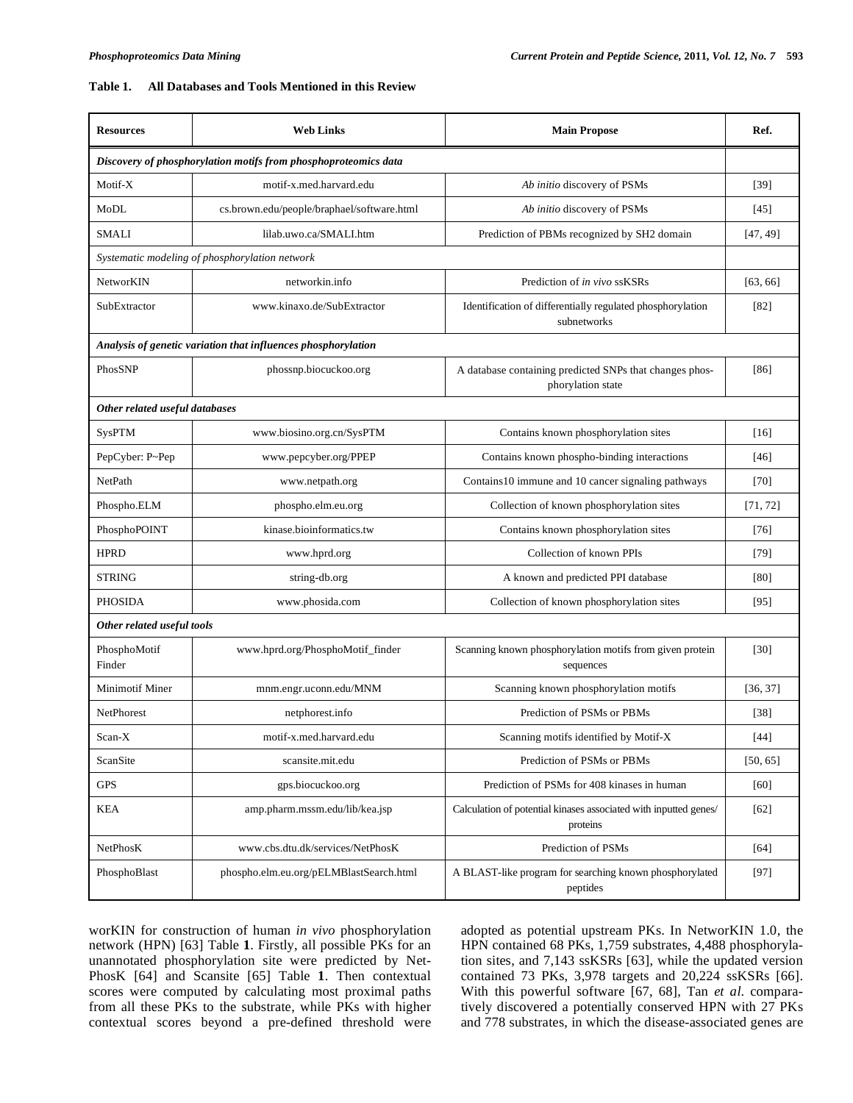# **Table 1. All Databases and Tools Mentioned in this Review**

| <b>Resources</b>                                                | <b>Web Links</b>                           | <b>Main Propose</b>                                                          | Ref.     |
|-----------------------------------------------------------------|--------------------------------------------|------------------------------------------------------------------------------|----------|
| Discovery of phosphorylation motifs from phosphoproteomics data |                                            |                                                                              |          |
| Motif-X                                                         | motif-x.med.harvard.edu                    | Ab initio discovery of PSMs                                                  | $[39]$   |
| MoDL                                                            | cs.brown.edu/people/braphael/software.html | Ab initio discovery of PSMs                                                  | $[45]$   |
| <b>SMALI</b>                                                    | lilab.uwo.ca/SMALI.htm                     | Prediction of PBMs recognized by SH2 domain                                  | [47, 49] |
| Systematic modeling of phosphorylation network                  |                                            |                                                                              |          |
| NetworKIN                                                       | networkin.info                             | Prediction of in vivo ssKSRs                                                 | [63, 66] |
| SubExtractor                                                    | www.kinaxo.de/SubExtractor                 | Identification of differentially regulated phosphorylation<br>subnetworks    | $[82]$   |
| Analysis of genetic variation that influences phosphorylation   |                                            |                                                                              |          |
| PhosSNP                                                         | phossnp.biocuckoo.org                      | A database containing predicted SNPs that changes phos-<br>phorylation state | [86]     |
| Other related useful databases                                  |                                            |                                                                              |          |
| <b>SysPTM</b>                                                   | www.biosino.org.cn/SysPTM                  | Contains known phosphorylation sites                                         | [16]     |
| PepCyber: P~Pep                                                 | www.pepcyber.org/PPEP                      | Contains known phospho-binding interactions                                  | [46]     |
| NetPath                                                         | www.netpath.org                            | Contains10 immune and 10 cancer signaling pathways                           | [70]     |
| Phospho.ELM                                                     | phospho.elm.eu.org                         | Collection of known phosphorylation sites                                    | [71, 72] |
| PhosphoPOINT                                                    | kinase.bioinformatics.tw                   | Contains known phosphorylation sites                                         | [76]     |
| <b>HPRD</b>                                                     | www.hprd.org                               | Collection of known PPIs                                                     | $[79]$   |
| <b>STRING</b>                                                   | string-db.org                              | A known and predicted PPI database                                           | [80]     |
| <b>PHOSIDA</b>                                                  | www.phosida.com                            | Collection of known phosphorylation sites                                    | [95]     |
| Other related useful tools                                      |                                            |                                                                              |          |
| PhosphoMotif<br>Finder                                          | www.hprd.org/PhosphoMotif_finder           | Scanning known phosphorylation motifs from given protein<br>sequences        | [30]     |
| <b>Minimotif Miner</b>                                          | mnm.engr.uconn.edu/MNM                     | Scanning known phosphorylation motifs                                        | [36, 37] |
| NetPhorest                                                      | netphorest.info                            | Prediction of PSMs or PBMs                                                   | [38]     |
| Scan-X                                                          | motif-x.med.harvard.edu                    | Scanning motifs identified by Motif-X                                        | $[44]$   |
| ScanSite                                                        | scansite.mit.edu                           | Prediction of PSMs or PBMs                                                   | [50, 65] |
| GPS                                                             | gps.biocuckoo.org                          | Prediction of PSMs for 408 kinases in human                                  | $[60]$   |
| KEA                                                             | amp.pharm.mssm.edu/lib/kea.jsp             | Calculation of potential kinases associated with inputted genes/<br>proteins | $[62]$   |
| NetPhosK                                                        | www.cbs.dtu.dk/services/NetPhosK           | Prediction of PSMs                                                           | $[64]$   |
| PhosphoBlast                                                    | phospho.elm.eu.org/pELMBlastSearch.html    | A BLAST-like program for searching known phosphorylated<br>peptides          | $[97]$   |

worKIN for construction of human *in vivo* phosphorylation network (HPN) [63] Table **1**. Firstly, all possible PKs for an unannotated phosphorylation site were predicted by Net-PhosK [64] and Scansite [65] Table **1**. Then contextual scores were computed by calculating most proximal paths from all these PKs to the substrate, while PKs with higher contextual scores beyond a pre-defined threshold were adopted as potential upstream PKs. In NetworKIN 1.0, the HPN contained 68 PKs, 1,759 substrates, 4,488 phosphorylation sites, and 7,143 ssKSRs [63], while the updated version contained 73 PKs, 3,978 targets and 20,224 ssKSRs [66]. With this powerful software [67, 68], Tan *et al*. comparatively discovered a potentially conserved HPN with 27 PKs and 778 substrates, in which the disease-associated genes are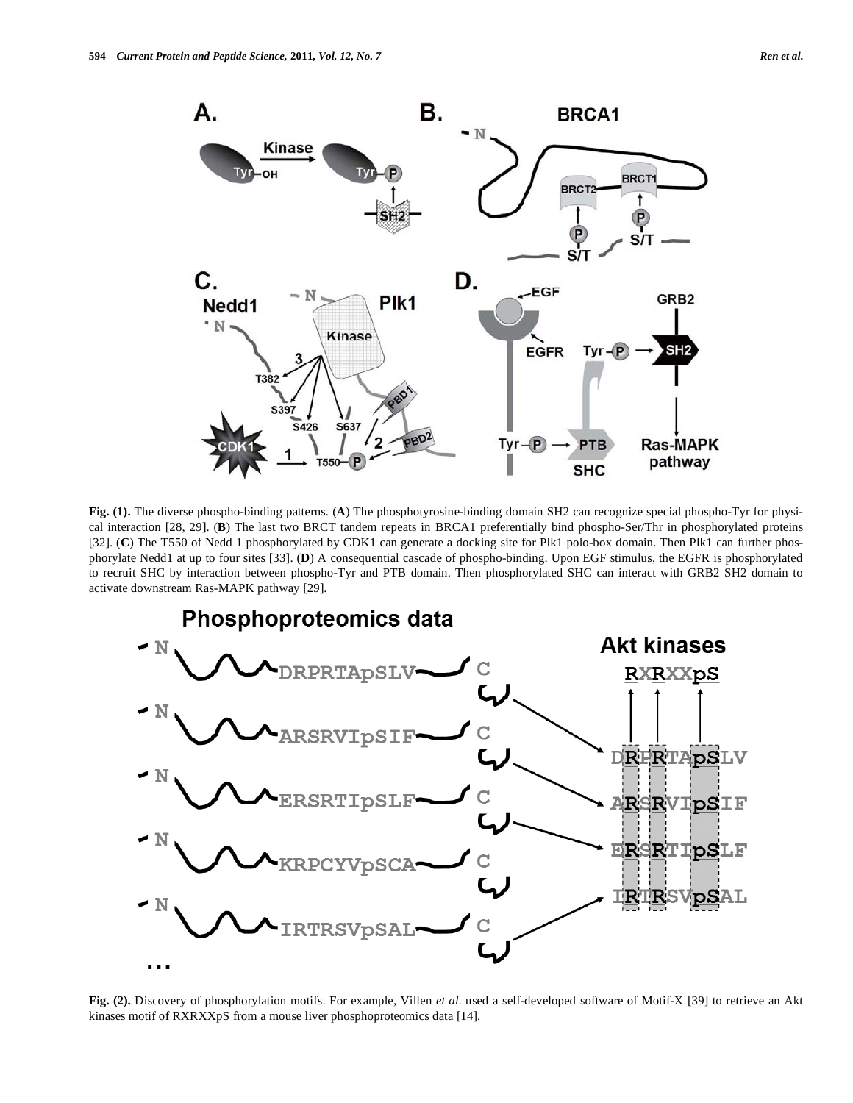

**Fig. (1).** The diverse phospho-binding patterns. (**A**) The phosphotyrosine-binding domain SH2 can recognize special phospho-Tyr for physical interaction [28, 29]. (**B**) The last two BRCT tandem repeats in BRCA1 preferentially bind phospho-Ser/Thr in phosphorylated proteins [32]. (**C**) The T550 of Nedd 1 phosphorylated by CDK1 can generate a docking site for Plk1 polo-box domain. Then Plk1 can further phosphorylate Nedd1 at up to four sites [33]. (**D**) A consequential cascade of phospho-binding. Upon EGF stimulus, the EGFR is phosphorylated to recruit SHC by interaction between phospho-Tyr and PTB domain. Then phosphorylated SHC can interact with GRB2 SH2 domain to activate downstream Ras-MAPK pathway [29].



**Fig. (2).** Discovery of phosphorylation motifs. For example, Villen *et al*. used a self-developed software of Motif-X [39] to retrieve an Akt kinases motif of RXRXXpS from a mouse liver phosphoproteomics data [14].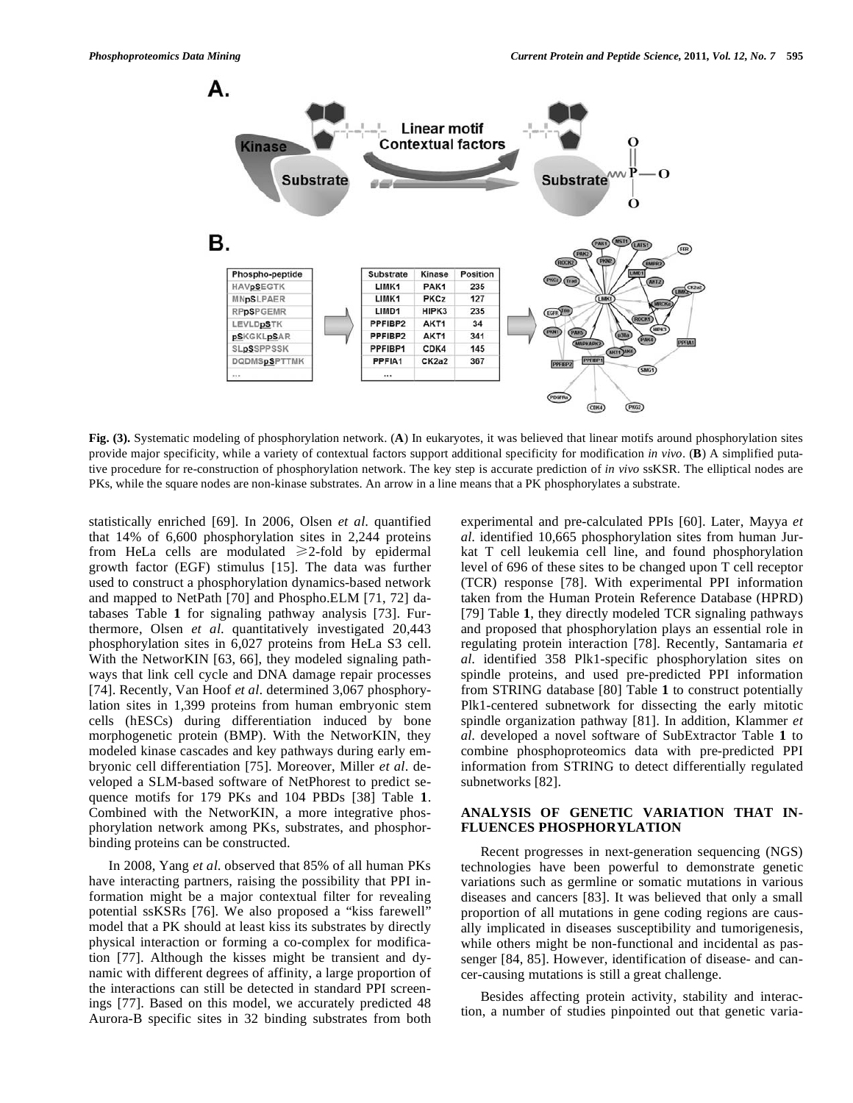

**Fig. (3).** Systematic modeling of phosphorylation network. (**A**) In eukaryotes, it was believed that linear motifs around phosphorylation sites provide major specificity, while a variety of contextual factors support additional specificity for modification *in vivo*. (**B**) A simplified putative procedure for re-construction of phosphorylation network. The key step is accurate prediction of *in vivo* ssKSR. The elliptical nodes are PKs, while the square nodes are non-kinase substrates. An arrow in a line means that a PK phosphorylates a substrate.

statistically enriched [69]. In 2006, Olsen *et al*. quantified that 14% of 6,600 phosphorylation sites in 2,244 proteins from HeLa cells are modulated  $\geq 2$ -fold by epidermal growth factor (EGF) stimulus [15]. The data was further used to construct a phosphorylation dynamics-based network and mapped to NetPath [70] and Phospho.ELM [71, 72] databases Table **1** for signaling pathway analysis [73]. Furthermore, Olsen *et al*. quantitatively investigated 20,443 phosphorylation sites in 6,027 proteins from HeLa S3 cell. With the NetworKIN [63, 66], they modeled signaling pathways that link cell cycle and DNA damage repair processes [74]. Recently, Van Hoof *et al*. determined 3,067 phosphorylation sites in 1,399 proteins from human embryonic stem cells (hESCs) during differentiation induced by bone morphogenetic protein (BMP). With the NetworKIN, they modeled kinase cascades and key pathways during early embryonic cell differentiation [75]. Moreover, Miller *et al*. developed a SLM-based software of NetPhorest to predict sequence motifs for 179 PKs and 104 PBDs [38] Table **1**. Combined with the NetworKIN, a more integrative phosphorylation network among PKs, substrates, and phosphorbinding proteins can be constructed.

 In 2008, Yang *et al*. observed that 85% of all human PKs have interacting partners, raising the possibility that PPI information might be a major contextual filter for revealing potential ssKSRs [76]. We also proposed a "kiss farewell" model that a PK should at least kiss its substrates by directly physical interaction or forming a co-complex for modification [77]. Although the kisses might be transient and dynamic with different degrees of affinity, a large proportion of the interactions can still be detected in standard PPI screenings [77]. Based on this model, we accurately predicted 48 Aurora-B specific sites in 32 binding substrates from both

experimental and pre-calculated PPIs [60]. Later, Mayya *et al*. identified 10,665 phosphorylation sites from human Jurkat T cell leukemia cell line, and found phosphorylation level of 696 of these sites to be changed upon T cell receptor (TCR) response [78]. With experimental PPI information taken from the Human Protein Reference Database (HPRD) [79] Table **1**, they directly modeled TCR signaling pathways and proposed that phosphorylation plays an essential role in regulating protein interaction [78]. Recently, Santamaria *et al*. identified 358 Plk1-specific phosphorylation sites on spindle proteins, and used pre-predicted PPI information from STRING database [80] Table **1** to construct potentially Plk1-centered subnetwork for dissecting the early mitotic spindle organization pathway [81]. In addition, Klammer *et al*. developed a novel software of SubExtractor Table **1** to combine phosphoproteomics data with pre-predicted PPI information from STRING to detect differentially regulated subnetworks [82].

# **ANALYSIS OF GENETIC VARIATION THAT IN-FLUENCES PHOSPHORYLATION**

 Recent progresses in next-generation sequencing (NGS) technologies have been powerful to demonstrate genetic variations such as germline or somatic mutations in various diseases and cancers [83]. It was believed that only a small proportion of all mutations in gene coding regions are causally implicated in diseases susceptibility and tumorigenesis, while others might be non-functional and incidental as passenger [84, 85]. However, identification of disease- and cancer-causing mutations is still a great challenge.

 Besides affecting protein activity, stability and interaction, a number of studies pinpointed out that genetic varia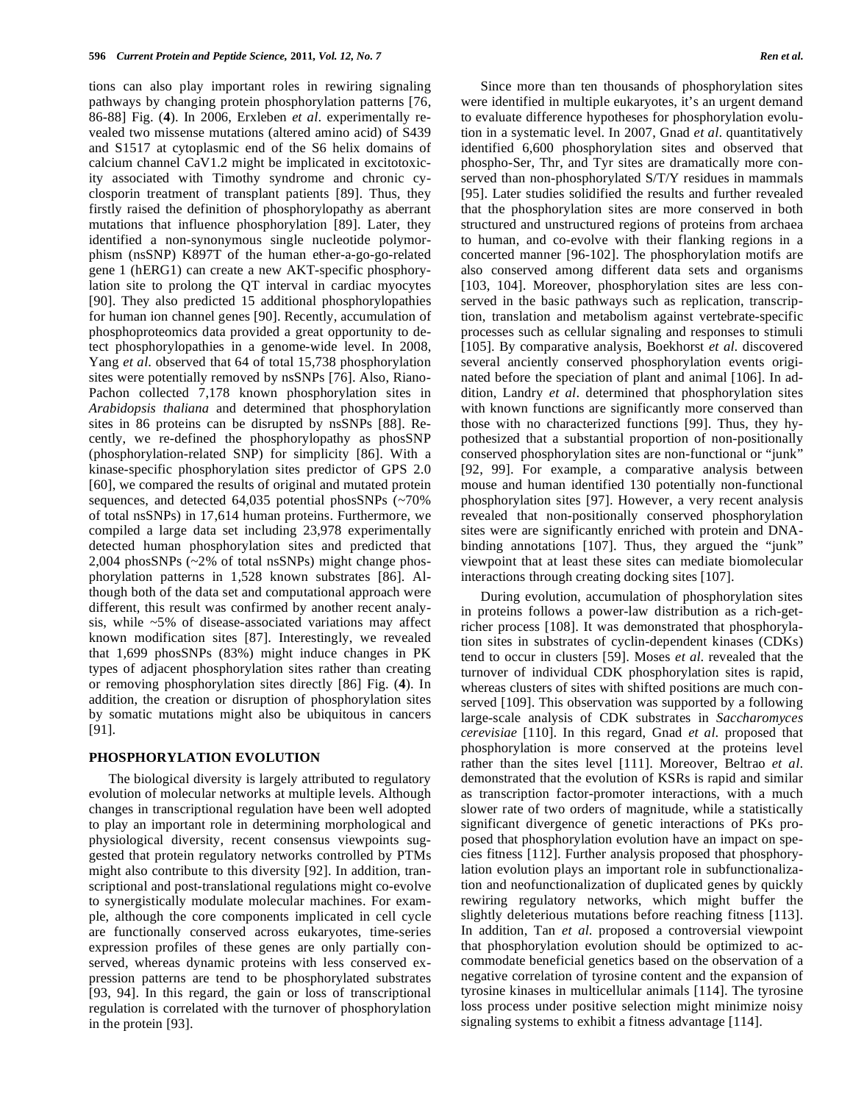tions can also play important roles in rewiring signaling pathways by changing protein phosphorylation patterns [76, 86-88] Fig. (**4**). In 2006, Erxleben *et al*. experimentally revealed two missense mutations (altered amino acid) of S439 and S1517 at cytoplasmic end of the S6 helix domains of calcium channel CaV1.2 might be implicated in excitotoxicity associated with Timothy syndrome and chronic cyclosporin treatment of transplant patients [89]. Thus, they firstly raised the definition of phosphorylopathy as aberrant mutations that influence phosphorylation [89]. Later, they identified a non-synonymous single nucleotide polymorphism (nsSNP) K897T of the human ether-a-go-go-related gene 1 (hERG1) can create a new AKT-specific phosphorylation site to prolong the QT interval in cardiac myocytes [90]. They also predicted 15 additional phosphorylopathies for human ion channel genes [90]. Recently, accumulation of phosphoproteomics data provided a great opportunity to detect phosphorylopathies in a genome-wide level. In 2008, Yang *et al*. observed that 64 of total 15,738 phosphorylation sites were potentially removed by nsSNPs [76]. Also, Riano-Pachon collected 7,178 known phosphorylation sites in *Arabidopsis thaliana* and determined that phosphorylation sites in 86 proteins can be disrupted by nsSNPs [88]. Recently, we re-defined the phosphorylopathy as phosSNP (phosphorylation-related SNP) for simplicity [86]. With a kinase-specific phosphorylation sites predictor of GPS 2.0 [60], we compared the results of original and mutated protein sequences, and detected 64,035 potential phosSNPs (~70% of total nsSNPs) in 17,614 human proteins. Furthermore, we compiled a large data set including 23,978 experimentally detected human phosphorylation sites and predicted that 2,004 phosSNPs (~2% of total nsSNPs) might change phosphorylation patterns in 1,528 known substrates [86]. Although both of the data set and computational approach were different, this result was confirmed by another recent analysis, while ~5% of disease-associated variations may affect known modification sites [87]. Interestingly, we revealed that 1,699 phosSNPs (83%) might induce changes in PK types of adjacent phosphorylation sites rather than creating or removing phosphorylation sites directly [86] Fig. (**4**). In addition, the creation or disruption of phosphorylation sites by somatic mutations might also be ubiquitous in cancers [91].

### **PHOSPHORYLATION EVOLUTION**

 The biological diversity is largely attributed to regulatory evolution of molecular networks at multiple levels. Although changes in transcriptional regulation have been well adopted to play an important role in determining morphological and physiological diversity, recent consensus viewpoints suggested that protein regulatory networks controlled by PTMs might also contribute to this diversity [92]. In addition, transcriptional and post-translational regulations might co-evolve to synergistically modulate molecular machines. For example, although the core components implicated in cell cycle are functionally conserved across eukaryotes, time-series expression profiles of these genes are only partially conserved, whereas dynamic proteins with less conserved expression patterns are tend to be phosphorylated substrates [93, 94]. In this regard, the gain or loss of transcriptional regulation is correlated with the turnover of phosphorylation in the protein [93].

 Since more than ten thousands of phosphorylation sites were identified in multiple eukaryotes, it's an urgent demand to evaluate difference hypotheses for phosphorylation evolution in a systematic level. In 2007, Gnad *et al*. quantitatively identified 6,600 phosphorylation sites and observed that phospho-Ser, Thr, and Tyr sites are dramatically more conserved than non-phosphorylated S/T/Y residues in mammals [95]. Later studies solidified the results and further revealed that the phosphorylation sites are more conserved in both structured and unstructured regions of proteins from archaea to human, and co-evolve with their flanking regions in a concerted manner [96-102]. The phosphorylation motifs are also conserved among different data sets and organisms [103, 104]. Moreover, phosphorylation sites are less conserved in the basic pathways such as replication, transcription, translation and metabolism against vertebrate-specific processes such as cellular signaling and responses to stimuli [105]. By comparative analysis, Boekhorst *et al*. discovered several anciently conserved phosphorylation events originated before the speciation of plant and animal [106]. In addition, Landry *et al*. determined that phosphorylation sites with known functions are significantly more conserved than those with no characterized functions [99]. Thus, they hypothesized that a substantial proportion of non-positionally conserved phosphorylation sites are non-functional or "junk" [92, 99]. For example, a comparative analysis between mouse and human identified 130 potentially non-functional phosphorylation sites [97]. However, a very recent analysis revealed that non-positionally conserved phosphorylation sites were are significantly enriched with protein and DNAbinding annotations [107]. Thus, they argued the "junk" viewpoint that at least these sites can mediate biomolecular interactions through creating docking sites [107].

 During evolution, accumulation of phosphorylation sites in proteins follows a power-law distribution as a rich-getricher process [108]. It was demonstrated that phosphorylation sites in substrates of cyclin-dependent kinases (CDKs) tend to occur in clusters [59]. Moses *et al*. revealed that the turnover of individual CDK phosphorylation sites is rapid, whereas clusters of sites with shifted positions are much conserved [109]. This observation was supported by a following large-scale analysis of CDK substrates in *Saccharomyces cerevisiae* [110]. In this regard, Gnad *et al*. proposed that phosphorylation is more conserved at the proteins level rather than the sites level [111]. Moreover, Beltrao *et al*. demonstrated that the evolution of KSRs is rapid and similar as transcription factor-promoter interactions, with a much slower rate of two orders of magnitude, while a statistically significant divergence of genetic interactions of PKs proposed that phosphorylation evolution have an impact on species fitness [112]. Further analysis proposed that phosphorylation evolution plays an important role in subfunctionalization and neofunctionalization of duplicated genes by quickly rewiring regulatory networks, which might buffer the slightly deleterious mutations before reaching fitness [113]. In addition, Tan *et al*. proposed a controversial viewpoint that phosphorylation evolution should be optimized to accommodate beneficial genetics based on the observation of a negative correlation of tyrosine content and the expansion of tyrosine kinases in multicellular animals [114]. The tyrosine loss process under positive selection might minimize noisy signaling systems to exhibit a fitness advantage [114].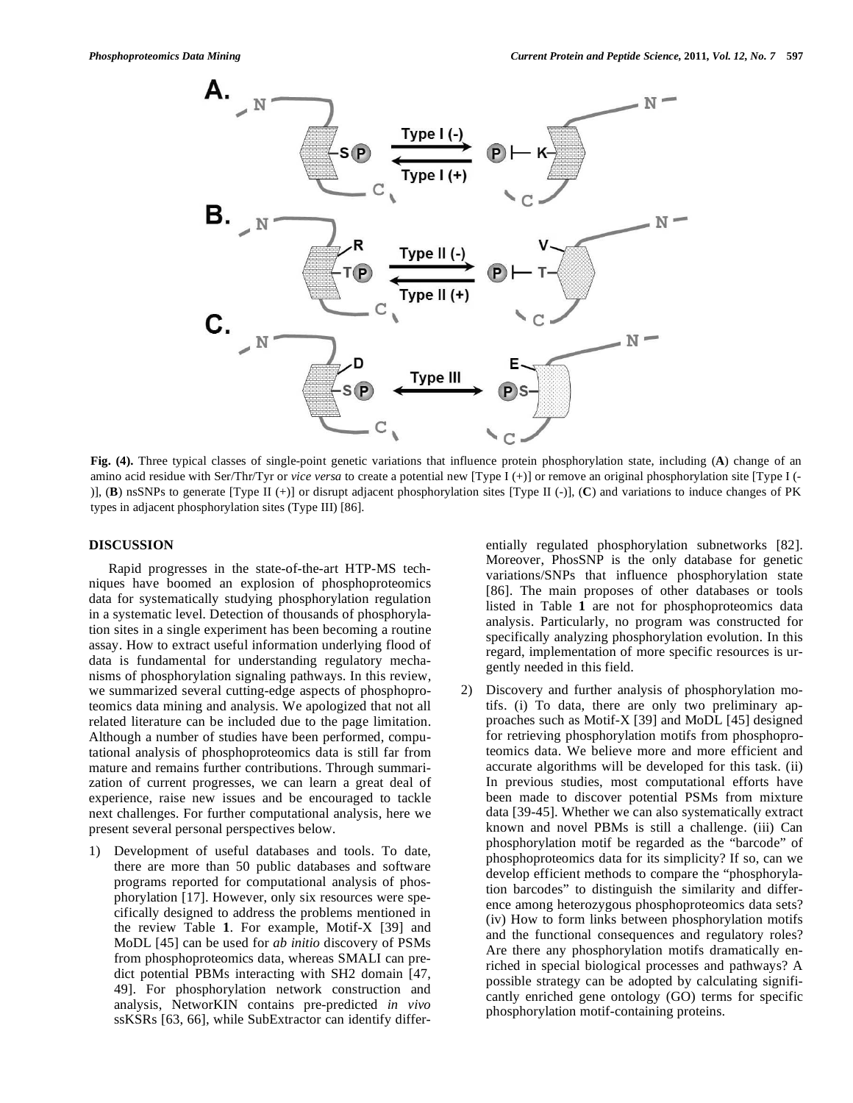

**Fig. (4).** Three typical classes of single-point genetic variations that influence protein phosphorylation state, including (**A**) change of an amino acid residue with Ser/Thr/Tyr or *vice versa* to create a potential new [Type I (+)] or remove an original phosphorylation site [Type I (- )], (**B**) nsSNPs to generate [Type II (+)] or disrupt adjacent phosphorylation sites [Type II (-)], (**C**) and variations to induce changes of PK types in adjacent phosphorylation sites (Type III) [86].

# **DISCUSSION**

 Rapid progresses in the state-of-the-art HTP-MS techniques have boomed an explosion of phosphoproteomics data for systematically studying phosphorylation regulation in a systematic level. Detection of thousands of phosphorylation sites in a single experiment has been becoming a routine assay. How to extract useful information underlying flood of data is fundamental for understanding regulatory mechanisms of phosphorylation signaling pathways. In this review, we summarized several cutting-edge aspects of phosphoproteomics data mining and analysis. We apologized that not all related literature can be included due to the page limitation. Although a number of studies have been performed, computational analysis of phosphoproteomics data is still far from mature and remains further contributions. Through summarization of current progresses, we can learn a great deal of experience, raise new issues and be encouraged to tackle next challenges. For further computational analysis, here we present several personal perspectives below.

1) Development of useful databases and tools. To date, there are more than 50 public databases and software programs reported for computational analysis of phosphorylation [17]. However, only six resources were specifically designed to address the problems mentioned in the review Table **1**. For example, Motif-X [39] and MoDL [45] can be used for *ab initio* discovery of PSMs from phosphoproteomics data, whereas SMALI can predict potential PBMs interacting with SH2 domain [47, 49]. For phosphorylation network construction and analysis, NetworKIN contains pre-predicted *in vivo* ssKSRs [63, 66], while SubExtractor can identify differentially regulated phosphorylation subnetworks [82]. Moreover, PhosSNP is the only database for genetic variations/SNPs that influence phosphorylation state [86]. The main proposes of other databases or tools listed in Table **1** are not for phosphoproteomics data analysis. Particularly, no program was constructed for specifically analyzing phosphorylation evolution. In this regard, implementation of more specific resources is urgently needed in this field.

2) Discovery and further analysis of phosphorylation motifs. (i) To data, there are only two preliminary approaches such as Motif-X [39] and MoDL [45] designed for retrieving phosphorylation motifs from phosphoproteomics data. We believe more and more efficient and accurate algorithms will be developed for this task. (ii) In previous studies, most computational efforts have been made to discover potential PSMs from mixture data [39-45]. Whether we can also systematically extract known and novel PBMs is still a challenge. (iii) Can phosphorylation motif be regarded as the "barcode" of phosphoproteomics data for its simplicity? If so, can we develop efficient methods to compare the "phosphorylation barcodes" to distinguish the similarity and difference among heterozygous phosphoproteomics data sets? (iv) How to form links between phosphorylation motifs and the functional consequences and regulatory roles? Are there any phosphorylation motifs dramatically enriched in special biological processes and pathways? A possible strategy can be adopted by calculating significantly enriched gene ontology (GO) terms for specific phosphorylation motif-containing proteins.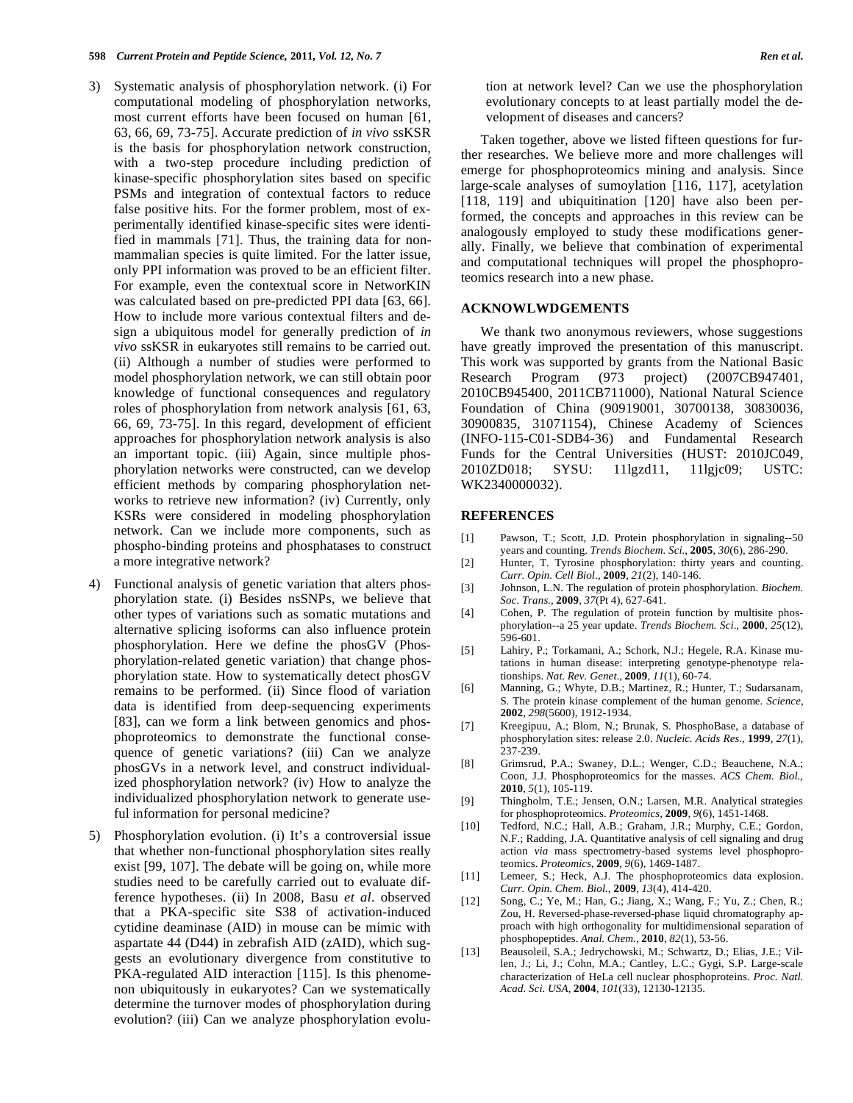- 3) Systematic analysis of phosphorylation network. (i) For computational modeling of phosphorylation networks, most current efforts have been focused on human [61, 63, 66, 69, 73-75]. Accurate prediction of *in vivo* ssKSR is the basis for phosphorylation network construction, with a two-step procedure including prediction of kinase-specific phosphorylation sites based on specific PSMs and integration of contextual factors to reduce false positive hits. For the former problem, most of experimentally identified kinase-specific sites were identified in mammals [71]. Thus, the training data for nonmammalian species is quite limited. For the latter issue, only PPI information was proved to be an efficient filter. For example, even the contextual score in NetworKIN was calculated based on pre-predicted PPI data [63, 66]. How to include more various contextual filters and design a ubiquitous model for generally prediction of *in vivo* ssKSR in eukaryotes still remains to be carried out. (ii) Although a number of studies were performed to model phosphorylation network, we can still obtain poor knowledge of functional consequences and regulatory roles of phosphorylation from network analysis [61, 63, 66, 69, 73-75]. In this regard, development of efficient approaches for phosphorylation network analysis is also an important topic. (iii) Again, since multiple phosphorylation networks were constructed, can we develop efficient methods by comparing phosphorylation networks to retrieve new information? (iv) Currently, only KSRs were considered in modeling phosphorylation network. Can we include more components, such as phospho-binding proteins and phosphatases to construct a more integrative network?
- 4) Functional analysis of genetic variation that alters phosphorylation state. (i) Besides nsSNPs, we believe that other types of variations such as somatic mutations and alternative splicing isoforms can also influence protein phosphorylation. Here we define the phosGV (Phosphorylation-related genetic variation) that change phosphorylation state. How to systematically detect phosGV remains to be performed. (ii) Since flood of variation data is identified from deep-sequencing experiments [83], can we form a link between genomics and phosphoproteomics to demonstrate the functional consequence of genetic variations? (iii) Can we analyze phosGVs in a network level, and construct individualized phosphorylation network? (iv) How to analyze the individualized phosphorylation network to generate useful information for personal medicine?
- 5) Phosphorylation evolution. (i) It's a controversial issue that whether non-functional phosphorylation sites really exist [99, 107]. The debate will be going on, while more studies need to be carefully carried out to evaluate difference hypotheses. (ii) In 2008, Basu *et al*. observed that a PKA-specific site S38 of activation-induced cytidine deaminase (AID) in mouse can be mimic with aspartate 44 (D44) in zebrafish AID (zAID), which suggests an evolutionary divergence from constitutive to PKA-regulated AID interaction [115]. Is this phenomenon ubiquitously in eukaryotes? Can we systematically determine the turnover modes of phosphorylation during evolution? (iii) Can we analyze phosphorylation evolu-

tion at network level? Can we use the phosphorylation evolutionary concepts to at least partially model the development of diseases and cancers?

 Taken together, above we listed fifteen questions for further researches. We believe more and more challenges will emerge for phosphoproteomics mining and analysis. Since large-scale analyses of sumoylation [116, 117], acetylation [118, 119] and ubiquitination [120] have also been performed, the concepts and approaches in this review can be analogously employed to study these modifications generally. Finally, we believe that combination of experimental and computational techniques will propel the phosphoproteomics research into a new phase.

#### **ACKNOWLWDGEMENTS**

 We thank two anonymous reviewers, whose suggestions have greatly improved the presentation of this manuscript. This work was supported by grants from the National Basic Research Program (973 project) (2007CB947401, 2010CB945400, 2011CB711000), National Natural Science Foundation of China (90919001, 30700138, 30830036, 30900835, 31071154), Chinese Academy of Sciences (INFO-115-C01-SDB4-36) and Fundamental Research Funds for the Central Universities (HUST: 2010JC049, 2010ZD018; SYSU: 11lgzd11, 11lgjc09; USTC: WK2340000032).

#### **REFERENCES**

- [1] Pawson, T.; Scott, J.D. Protein phosphorylation in signaling--50 years and counting. *Trends Biochem. Sci.*, **2005**, *30*(6), 286-290.
- [2] Hunter, T. Tyrosine phosphorylation: thirty years and counting. *Curr. Opin. Cell Biol.*, **2009**, *21*(2), 140-146.
- [3] Johnson, L.N. The regulation of protein phosphorylation. *Biochem. Soc. Trans.*, **2009**, *37*(Pt 4), 627-641.
- [4] Cohen, P. The regulation of protein function by multisite phosphorylation--a 25 year update. *Trends Biochem. Sci*., **2000**, *25*(12), 596-601.
- [5] Lahiry, P.; Torkamani, A.; Schork, N.J.; Hegele, R.A. Kinase mutations in human disease: interpreting genotype-phenotype relationships. *Nat. Rev. Genet*., **2009**, *11*(1), 60-74.
- [6] Manning, G.; Whyte, D.B.; Martinez, R.; Hunter, T.; Sudarsanam, S. The protein kinase complement of the human genome. *Science*, **2002**, *298*(5600), 1912-1934.
- [7] Kreegipuu, A.; Blom, N.; Brunak, S. PhosphoBase, a database of phosphorylation sites: release 2.0. *Nucleic. Acids Res.*, **1999**, *27*(1), 237-239.
- [8] Grimsrud, P.A.; Swaney, D.L.; Wenger, C.D.; Beauchene, N.A.; Coon, J.J. Phosphoproteomics for the masses. *ACS Chem. Biol.*, **2010**, *5*(1), 105-119.
- [9] Thingholm, T.E.; Jensen, O.N.; Larsen, M.R. Analytical strategies for phosphoproteomics. *Proteomics*, **2009**, *9*(6), 1451-1468.
- [10] Tedford, N.C.; Hall, A.B.; Graham, J.R.; Murphy, C.E.; Gordon, N.F.; Radding, J.A. Quantitative analysis of cell signaling and drug action *via* mass spectrometry-based systems level phosphoproteomics. *Proteomics*, **2009**, *9*(6), 1469-1487.
- [11] Lemeer, S.; Heck, A.J. The phosphoproteomics data explosion. *Curr. Opin. Chem. Biol.*, **2009**, *13*(4), 414-420.
- [12] Song, C.; Ye, M.; Han, G.; Jiang, X.; Wang, F.; Yu, Z.; Chen, R.; Zou, H. Reversed-phase-reversed-phase liquid chromatography approach with high orthogonality for multidimensional separation of phosphopeptides. *Anal. Chem.*, **2010**, *82*(1), 53-56.
- [13] Beausoleil, S.A.; Jedrychowski, M.; Schwartz, D.; Elias, J.E.; Villen, J.; Li, J.; Cohn, M.A.; Cantley, L.C.; Gygi, S.P. Large-scale characterization of HeLa cell nuclear phosphoproteins. *Proc. Natl. Acad. Sci. USA*, **2004**, *101*(33), 12130-12135.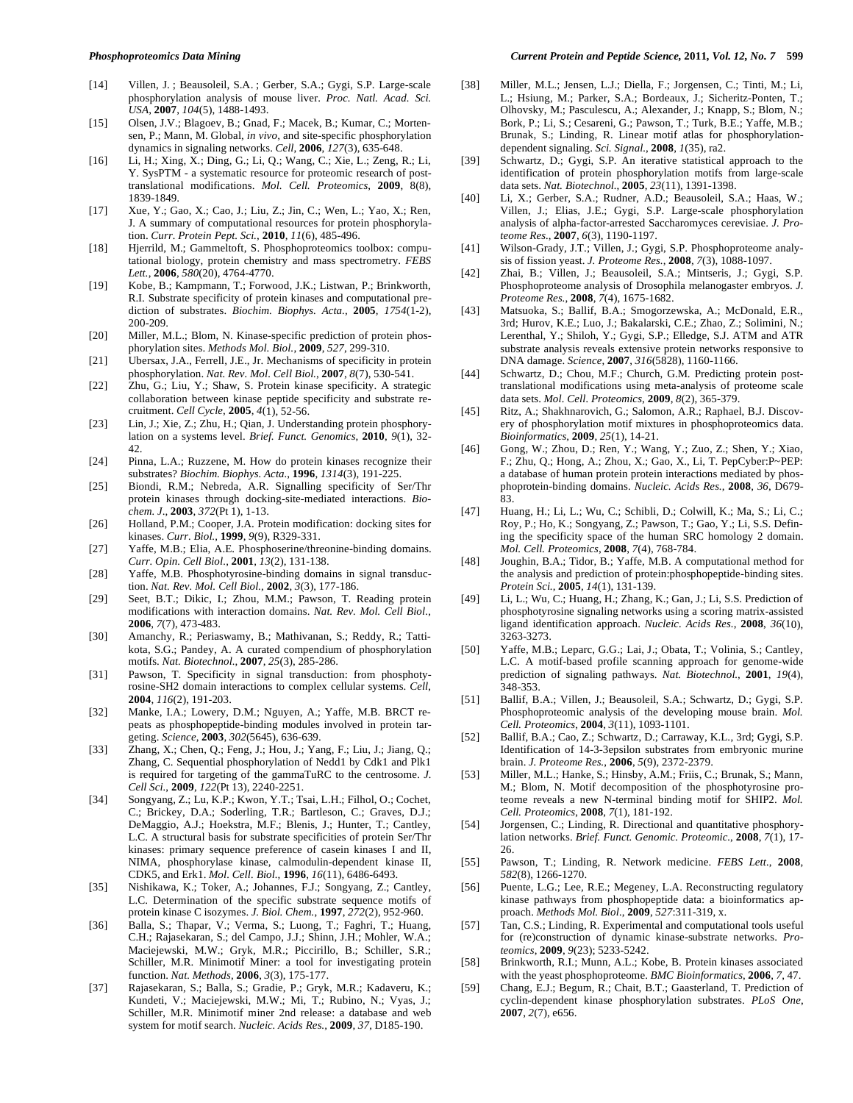- [14] Villen, J. ; Beausoleil, S.A. ; Gerber, S.A.; Gygi, S.P. Large-scale phosphorylation analysis of mouse liver. *Proc. Natl. Acad. Sci. USA*, **2007**, *104*(5), 1488-1493.
- [15] Olsen, J.V.; Blagoev, B.; Gnad, F.; Macek, B.; Kumar, C.; Mortensen, P.; Mann, M. Global, *in vivo*, and site-specific phosphorylation dynamics in signaling networks. *Cell*, **2006**, *127*(3), 635-648.
- [16] Li, H.; Xing, X.; Ding, G.; Li, Q.; Wang, C.; Xie, L.; Zeng, R.; Li, Y. SysPTM - a systematic resource for proteomic research of posttranslational modifications. *Mol. Cell. Proteomics*, **2009**, 8(8), 1839-1849.
- [17] Xue, Y.; Gao, X.; Cao, J.; Liu, Z.; Jin, C.; Wen, L.; Yao, X.; Ren, J. A summary of computational resources for protein phosphorylation. *Curr. Protein Pept. Sci.*, **2010**, *11*(6), 485-496.
- [18] Hjerrild, M.; Gammeltoft, S. Phosphoproteomics toolbox: computational biology, protein chemistry and mass spectrometry. *FEBS Lett.*, **2006**, *580*(20), 4764-4770.
- [19] Kobe, B.; Kampmann, T.; Forwood, J.K.; Listwan, P.; Brinkworth, R.I. Substrate specificity of protein kinases and computational prediction of substrates. *Biochim. Biophys. Acta.*, **2005**, *1754*(1-2), 200-209.
- [20] Miller, M.L.; Blom, N. Kinase-specific prediction of protein phosphorylation sites. *Methods Mol. Biol.*, **2009**, *527*, 299-310.
- [21] Ubersax, J.A., Ferrell, J.E., Jr. Mechanisms of specificity in protein phosphorylation. *Nat. Rev. Mol. Cell Biol.*, **2007**, *8*(7), 530-541.
- [22] Zhu, G.; Liu, Y.; Shaw, S. Protein kinase specificity. A strategic collaboration between kinase peptide specificity and substrate recruitment. *Cell Cycle*, **2005**, *4*(1), 52-56.
- [23] Lin, J.; Xie, Z.; Zhu, H.; Qian, J. Understanding protein phosphorylation on a systems level. *Brief. Funct. Genomics*, **2010**, *9*(1), 32- 42.
- [24] Pinna, L.A.; Ruzzene, M. How do protein kinases recognize their substrates? *Biochim. Biophys. Acta.*, **1996**, *1314*(3), 191-225.
- [25] Biondi, R.M.; Nebreda, A.R. Signalling specificity of Ser/Thr protein kinases through docking-site-mediated interactions. *Biochem. J*., **2003**, *372*(Pt 1), 1-13.
- [26] Holland, P.M.; Cooper, J.A. Protein modification: docking sites for kinases. *Curr. Biol.*, **1999**, *9*(9), R329-331.
- [27] Yaffe, M.B.; Elia, A.E. Phosphoserine/threonine-binding domains. *Curr. Opin. Cell Biol.*, **2001**, *13*(2), 131-138.
- [28] Yaffe, M.B. Phosphotyrosine-binding domains in signal transduction. *Nat. Rev. Mol. Cell Biol.*, **2002**, *3*(3), 177-186.
- [29] Seet, B.T.; Dikic, I.; Zhou, M.M.; Pawson, T. Reading protein modifications with interaction domains. *Nat. Rev. Mol. Cell Biol.*, **2006**, *7*(7), 473-483.
- [30] Amanchy, R.; Periaswamy, B.; Mathivanan, S.; Reddy, R.; Tattikota, S.G.; Pandey, A. A curated compendium of phosphorylation motifs. *Nat. Biotechnol.*, **2007**, *25*(3), 285-286.
- [31] Pawson, T. Specificity in signal transduction: from phosphotyrosine-SH2 domain interactions to complex cellular systems. *Cell*, **2004**, *116*(2), 191-203.
- [32] Manke, I.A.; Lowery, D.M.; Nguyen, A.; Yaffe, M.B. BRCT repeats as phosphopeptide-binding modules involved in protein targeting. *Science*, **2003**, *302*(5645), 636-639.
- [33] Zhang, X.; Chen, Q.; Feng, J.; Hou, J.; Yang, F.; Liu, J.; Jiang, Q.; Zhang, C. Sequential phosphorylation of Nedd1 by Cdk1 and Plk1 is required for targeting of the gammaTuRC to the centrosome. *J. Cell Sci.*, **2009**, *122*(Pt 13), 2240-2251.
- [34] Songyang, Z.; Lu, K.P.; Kwon, Y.T.; Tsai, L.H.; Filhol, O.; Cochet, C.; Brickey, D.A.; Soderling, T.R.; Bartleson, C.; Graves, D.J.; DeMaggio, A.J.; Hoekstra, M.F.; Blenis, J.; Hunter, T.; Cantley, L.C. A structural basis for substrate specificities of protein Ser/Thr kinases: primary sequence preference of casein kinases I and II, NIMA, phosphorylase kinase, calmodulin-dependent kinase II, CDK5, and Erk1. *Mol. Cell. Biol.*, **1996**, *16*(11), 6486-6493.
- [35] Nishikawa, K.; Toker, A.; Johannes, F.J.; Songyang, Z.; Cantley, L.C. Determination of the specific substrate sequence motifs of protein kinase C isozymes. *J. Biol. Chem.*, **1997**, *272*(2), 952-960.
- [36] Balla, S.; Thapar, V.; Verma, S.; Luong, T.; Faghri, T.; Huang, C.H.; Rajasekaran, S.; del Campo, J.J.; Shinn, J.H.; Mohler, W.A.; Maciejewski, M.W.; Gryk, M.R.; Piccirillo, B.; Schiller, S.R.; Schiller, M.R. Minimotif Miner: a tool for investigating protein function. *Nat. Methods*, **2006**, *3*(3), 175-177.
- [37] Rajasekaran, S.; Balla, S.; Gradie, P.; Gryk, M.R.; Kadaveru, K.; Kundeti, V.; Maciejewski, M.W.; Mi, T.; Rubino, N.; Vyas, J.; Schiller, M.R. Minimotif miner 2nd release: a database and web system for motif search. *Nucleic. Acids Res.*, **2009**, *37*, D185-190.
- [38] Miller, M.L.; Jensen, L.J.; Diella, F.; Jorgensen, C.; Tinti, M.; Li, L.; Hsiung, M.; Parker, S.A.; Bordeaux, J.; Sicheritz-Ponten, T.; Olhovsky, M.; Pasculescu, A.; Alexander, J.; Knapp, S.; Blom, N.; Bork, P.; Li, S.; Cesareni, G.; Pawson, T.; Turk, B.E.; Yaffe, M.B.; Brunak, S.; Linding, R. Linear motif atlas for phosphorylationdependent signaling. *Sci. Signal.*, **2008**, *1*(35), ra2.
- [39] Schwartz, D.; Gygi, S.P. An iterative statistical approach to the identification of protein phosphorylation motifs from large-scale data sets. *Nat. Biotechnol.*, **2005**, *23*(11), 1391-1398.
- [40] Li, X.; Gerber, S.A.; Rudner, A.D.; Beausoleil, S.A.; Haas, W.; Villen, J.; Elias, J.E.; Gygi, S.P. Large-scale phosphorylation analysis of alpha-factor-arrested Saccharomyces cerevisiae. *J. Proteome Res.*, **2007**, *6*(3), 1190-1197.
- [41] Wilson-Grady, J.T.; Villen, J.; Gygi, S.P. Phosphoproteome analysis of fission yeast. *J. Proteome Res.*, **2008**, *7*(3), 1088-1097.
- [42] Zhai, B.; Villen, J.; Beausoleil, S.A.; Mintseris, J.; Gygi, S.P. Phosphoproteome analysis of Drosophila melanogaster embryos. *J. Proteome Res.*, **2008**, *7*(4), 1675-1682.
- [43] Matsuoka, S.; Ballif, B.A.; Smogorzewska, A.; McDonald, E.R., 3rd; Hurov, K.E.; Luo, J.; Bakalarski, C.E.; Zhao, Z.; Solimini, N.; Lerenthal, Y.; Shiloh, Y.; Gygi, S.P.; Elledge, S.J. ATM and ATR substrate analysis reveals extensive protein networks responsive to DNA damage. *Science*, **2007**, *316*(5828), 1160-1166.
- [44] Schwartz, D.; Chou, M.F.; Church, G.M. Predicting protein posttranslational modifications using meta-analysis of proteome scale data sets. *Mol. Cell. Proteomics*, **2009**, *8*(2), 365-379.
- [45] Ritz, A.; Shakhnarovich, G.; Salomon, A.R.; Raphael, B.J. Discovery of phosphorylation motif mixtures in phosphoproteomics data. *Bioinformatics*, **2009**, *25*(1), 14-21.
- [46] Gong, W.; Zhou, D.; Ren, Y.; Wang, Y.; Zuo, Z.; Shen, Y.; Xiao, F.; Zhu, Q.; Hong, A.; Zhou, X.; Gao, X., Li, T. PepCyber:P~PEP: a database of human protein protein interactions mediated by phosphoprotein-binding domains. *Nucleic. Acids Res.*, **2008**, *36*, D679- 83.
- [47] Huang, H.; Li, L.; Wu, C.; Schibli, D.; Colwill, K.; Ma, S.; Li, C.; Roy, P.; Ho, K.; Songyang, Z.; Pawson, T.; Gao, Y.; Li, S.S. Defining the specificity space of the human SRC homology 2 domain. *Mol. Cell. Proteomics*, **2008**, *7*(4), 768-784.
- [48] Joughin, B.A.; Tidor, B.; Yaffe, M.B. A computational method for the analysis and prediction of protein:phosphopeptide-binding sites. *Protein Sci.*, **2005**, *14*(1), 131-139.
- [49] Li, L.; Wu, C.; Huang, H.; Zhang, K.; Gan, J.; Li, S.S. Prediction of phosphotyrosine signaling networks using a scoring matrix-assisted ligand identification approach. *Nucleic. Acids Res.*, **2008**, *36*(10), 3263-3273.
- [50] Yaffe, M.B.; Leparc, G.G.; Lai, J.; Obata, T.; Volinia, S.; Cantley, L.C. A motif-based profile scanning approach for genome-wide prediction of signaling pathways. *Nat. Biotechnol.*, **2001**, *19*(4), 348-353.
- [51] Ballif, B.A.; Villen, J.; Beausoleil, S.A.; Schwartz, D.; Gygi, S.P. Phosphoproteomic analysis of the developing mouse brain. *Mol. Cell. Proteomics*, **2004**, *3*(11), 1093-1101.
- [52] Ballif, B.A.; Cao, Z.; Schwartz, D.; Carraway, K.L., 3rd; Gygi, S.P. Identification of 14-3-3epsilon substrates from embryonic murine brain. *J. Proteome Res.*, **2006**, *5*(9), 2372-2379.
- [53] Miller, M.L.; Hanke, S.; Hinsby, A.M.; Friis, C.; Brunak, S.; Mann, M.; Blom, N. Motif decomposition of the phosphotyrosine proteome reveals a new N-terminal binding motif for SHIP2. *Mol. Cell. Proteomics*, **2008**, *7*(1), 181-192.
- [54] Jorgensen, C.; Linding, R. Directional and quantitative phosphorylation networks. *Brief. Funct. Genomic. Proteomic.*, **2008**, *7*(1), 17- 26.
- [55] Pawson, T.; Linding, R. Network medicine. *FEBS Lett.*, **2008**, *582*(8), 1266-1270.
- [56] Puente, L.G.; Lee, R.E.; Megeney, L.A. Reconstructing regulatory kinase pathways from phosphopeptide data: a bioinformatics approach. *Methods Mol. Biol.*, **2009**, *527*:311-319, x.
- [57] Tan, C.S.; Linding, R. Experimental and computational tools useful for (re)construction of dynamic kinase-substrate networks. *Proteomics*, **2009**, *9*(23); 5233-5242.
- [58] Brinkworth, R.I.; Munn, A.L.; Kobe, B. Protein kinases associated with the yeast phosphoproteome. *BMC Bioinformatics*, **2006**, *7*, 47.
- [59] Chang, E.J.; Begum, R.; Chait, B.T.; Gaasterland, T. Prediction of cyclin-dependent kinase phosphorylation substrates. *PLoS One*, **2007**, *2*(7), e656.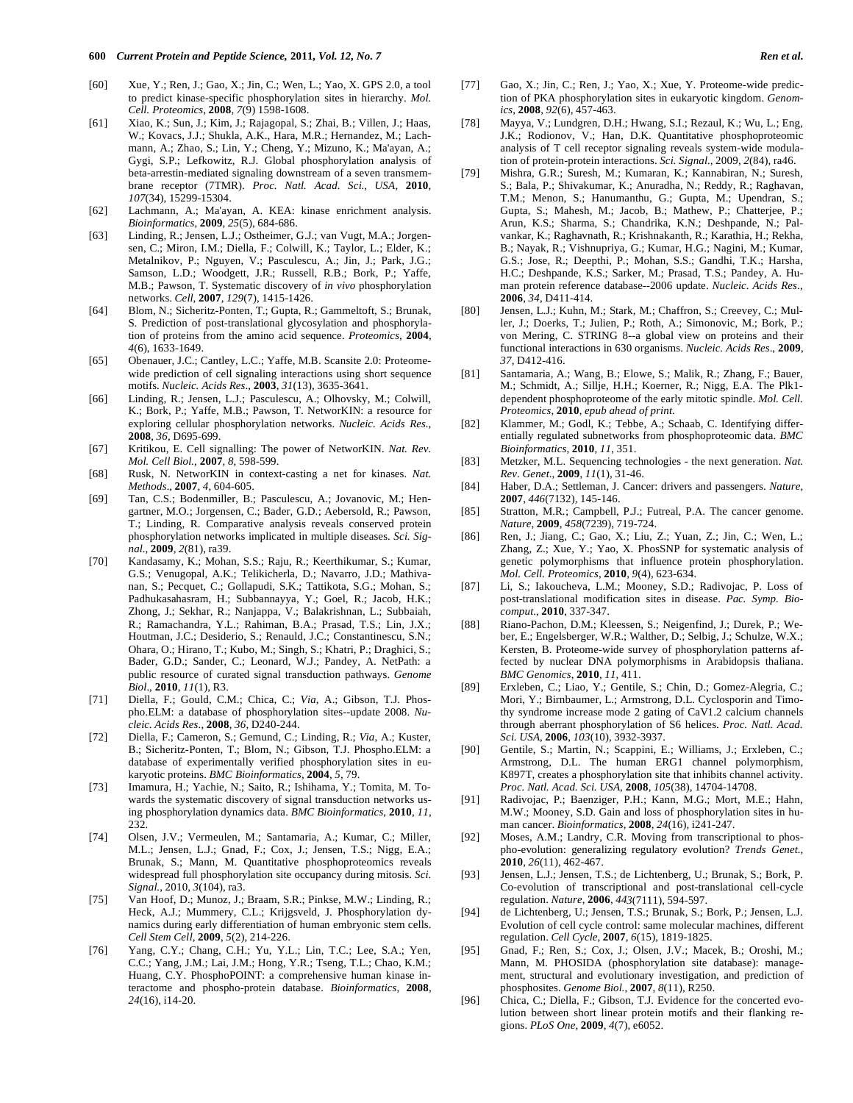- [60] Xue, Y.; Ren, J.; Gao, X.; Jin, C.; Wen, L.; Yao, X. GPS 2.0, a tool to predict kinase-specific phosphorylation sites in hierarchy. *Mol. Cell. Proteomics*, **2008**, *7*(9) 1598-1608.
- [61] Xiao, K.; Sun, J.; Kim, J.; Rajagopal, S.; Zhai, B.; Villen, J.; Haas, W.; Kovacs, J.J.; Shukla, A.K., Hara, M.R.; Hernandez, M.; Lachmann, A.; Zhao, S.; Lin, Y.; Cheng, Y.; Mizuno, K.; Ma'ayan, A.; Gygi, S.P.; Lefkowitz, R.J. Global phosphorylation analysis of beta-arrestin-mediated signaling downstream of a seven transmembrane receptor (7TMR). *Proc. Natl. Acad. Sci., USA*, **2010**, *107*(34), 15299-15304.
- [62] Lachmann, A.; Ma'ayan, A. KEA: kinase enrichment analysis. *Bioinformatics*, **2009**, *25*(5), 684-686.
- [63] Linding, R.; Jensen, L.J.; Ostheimer, G.J.; van Vugt, M.A.; Jorgensen, C.; Miron, I.M.; Diella, F.; Colwill, K.; Taylor, L.; Elder, K.; Metalnikov, P.; Nguyen, V.; Pasculescu, A.; Jin, J.; Park, J.G.; Samson, L.D.; Woodgett, J.R.; Russell, R.B.; Bork, P.; Yaffe, M.B.; Pawson, T. Systematic discovery of *in vivo* phosphorylation networks. *Cell*, **2007**, *129*(7), 1415-1426.
- [64] Blom, N.; Sicheritz-Ponten, T.; Gupta, R.; Gammeltoft, S.; Brunak, S. Prediction of post-translational glycosylation and phosphorylation of proteins from the amino acid sequence. *Proteomics*, **2004**, *4*(6), 1633-1649.
- [65] Obenauer, J.C.; Cantley, L.C.; Yaffe, M.B. Scansite 2.0: Proteomewide prediction of cell signaling interactions using short sequence motifs. *Nucleic. Acids Res*., **2003**, *31*(13), 3635-3641.
- [66] Linding, R.; Jensen, L.J.; Pasculescu, A.; Olhovsky, M.; Colwill, K.; Bork, P.; Yaffe, M.B.; Pawson, T. NetworKIN: a resource for exploring cellular phosphorylation networks. *Nucleic. Acids Res.*, **2008**, *36*, D695-699.
- [67] Kritikou, E. Cell signalling: The power of NetworKIN. *Nat. Rev. Mol. Cell Biol.*, **2007**, *8*, 598-599.
- [68] Rusk, N. NetworKIN in context-casting a net for kinases. *Nat. Methods*., **2007**, *4*, 604-605.
- [69] Tan, C.S.; Bodenmiller, B.; Pasculescu, A.; Jovanovic, M.; Hengartner, M.O.; Jorgensen, C.; Bader, G.D.; Aebersold, R.; Pawson, T.; Linding, R. Comparative analysis reveals conserved protein phosphorylation networks implicated in multiple diseases. *Sci. Signal.*, **2009**, *2*(81), ra39.
- [70] Kandasamy, K.; Mohan, S.S.; Raju, R.; Keerthikumar, S.; Kumar, G.S.; Venugopal, A.K.; Telikicherla, D.; Navarro, J.D.; Mathivanan, S.; Pecquet, C.; Gollapudi, S.K.; Tattikota, S.G.; Mohan, S.; Padhukasahasram, H.; Subbannayya, Y.; Goel, R.; Jacob, H.K.; Zhong, J.; Sekhar, R.; Nanjappa, V.; Balakrishnan, L.; Subbaiah, R.; Ramachandra, Y.L.; Rahiman, B.A.; Prasad, T.S.; Lin, J.X.; Houtman, J.C.; Desiderio, S.; Renauld, J.C.; Constantinescu, S.N.; Ohara, O.; Hirano, T.; Kubo, M.; Singh, S.; Khatri, P.; Draghici, S.; Bader, G.D.; Sander, C.; Leonard, W.J.; Pandey, A. NetPath: a public resource of curated signal transduction pathways. *Genome Biol*., **2010**, *11*(1), R3.
- [71] Diella, F.; Gould, C.M.; Chica, C.; *Via*, A.; Gibson, T.J. Phospho.ELM: a database of phosphorylation sites--update 2008. *Nucleic. Acids Res*., **2008**, *36*, D240-244.
- [72] Diella, F.; Cameron, S.; Gemund, C.; Linding, R.; *Via*, A.; Kuster, B.; Sicheritz-Ponten, T.; Blom, N.; Gibson, T.J. Phospho.ELM: a database of experimentally verified phosphorylation sites in eukaryotic proteins. *BMC Bioinformatics*, **2004**, *5*, 79.
- [73] Imamura, H.; Yachie, N.; Saito, R.; Ishihama, Y.; Tomita, M. Towards the systematic discovery of signal transduction networks using phosphorylation dynamics data. *BMC Bioinformatics*, **2010**, *11*, 232.
- [74] Olsen, J.V.; Vermeulen, M.; Santamaria, A.; Kumar, C.; Miller, M.L.; Jensen, L.J.; Gnad, F.; Cox, J.; Jensen, T.S.; Nigg, E.A.; Brunak, S.; Mann, M. Quantitative phosphoproteomics reveals widespread full phosphorylation site occupancy during mitosis. *Sci. Signal.*, 2010, *3*(104), ra3.
- [75] Van Hoof, D.; Munoz, J.; Braam, S.R.; Pinkse, M.W.; Linding, R.; Heck, A.J.; Mummery, C.L.; Krijgsveld, J. Phosphorylation dynamics during early differentiation of human embryonic stem cells. *Cell Stem Cell*, **2009**, *5*(2), 214-226.
- [76] Yang, C.Y.; Chang, C.H.; Yu, Y.L.; Lin, T.C.; Lee, S.A.; Yen, C.C.; Yang, J.M.; Lai, J.M.; Hong, Y.R.; Tseng, T.L.; Chao, K.M.; Huang, C.Y. PhosphoPOINT: a comprehensive human kinase interactome and phospho-protein database. *Bioinformatics*, **2008**, *24*(16), i14-20.
- [77] Gao, X.; Jin, C.; Ren, J.; Yao, X.; Xue, Y. Proteome-wide prediction of PKA phosphorylation sites in eukaryotic kingdom. *Genomics*, **2008**, *92*(6), 457-463.
- [78] Mayya, V.; Lundgren, D.H.; Hwang, S.I.; Rezaul, K.; Wu, L.; Eng, J.K.; Rodionov, V.; Han, D.K. Quantitative phosphoproteomic analysis of T cell receptor signaling reveals system-wide modulation of protein-protein interactions. *Sci. Signal.*, 2009, *2*(84), ra46.
- [79] Mishra, G.R.; Suresh, M.; Kumaran, K.; Kannabiran, N.; Suresh, S.; Bala, P.; Shivakumar, K.; Anuradha, N.; Reddy, R.; Raghavan, T.M.; Menon, S.; Hanumanthu, G.; Gupta, M.; Upendran, S.; Gupta, S.; Mahesh, M.; Jacob, B.; Mathew, P.; Chatterjee, P.; Arun, K.S.; Sharma, S.; Chandrika, K.N.; Deshpande, N.; Palvankar, K.; Raghavnath, R.; Krishnakanth, R.; Karathia, H.; Rekha, B.; Nayak, R.; Vishnupriya, G.; Kumar, H.G.; Nagini, M.; Kumar, G.S.; Jose, R.; Deepthi, P.; Mohan, S.S.; Gandhi, T.K.; Harsha, H.C.; Deshpande, K.S.; Sarker, M.; Prasad, T.S.; Pandey, A. Human protein reference database--2006 update. *Nucleic. Acids Res.*, **2006**, *34*, D411-414.
- [80] Jensen, L.J.; Kuhn, M.; Stark, M.; Chaffron, S.; Creevey, C.; Muller, J.; Doerks, T.; Julien, P.; Roth, A.; Simonovic, M.; Bork, P.; von Mering, C. STRING 8--a global view on proteins and their functional interactions in 630 organisms. *Nucleic. Acids Res*., **2009**, *37*, D412-416.
- [81] Santamaria, A.; Wang, B.; Elowe, S.; Malik, R.; Zhang, F.; Bauer, M.; Schmidt, A.; Sillje, H.H.; Koerner, R.; Nigg, E.A. The Plk1 dependent phosphoproteome of the early mitotic spindle. *Mol. Cell. Proteomics*, **2010**, *epub ahead of print*.
- [82] Klammer, M.; Godl, K.; Tebbe, A.; Schaab, C. Identifying differentially regulated subnetworks from phosphoproteomic data. *BMC Bioinformatics*, **2010**, *11*, 351.
- [83] Metzker, M.L. Sequencing technologies the next generation. *Nat. Rev. Genet*., **2009**, *11*(1), 31-46.
- [84] Haber, D.A.; Settleman, J. Cancer: drivers and passengers. *Nature*, **2007**, *446*(7132), 145-146.
- [85] Stratton, M.R.; Campbell, P.J.; Futreal, P.A. The cancer genome. *Nature*, **2009**, *458*(7239), 719-724.
- [86] Ren, J.; Jiang, C.; Gao, X.; Liu, Z.; Yuan, Z.; Jin, C.; Wen, L.; Zhang, Z.; Xue, Y.; Yao, X. PhosSNP for systematic analysis of genetic polymorphisms that influence protein phosphorylation. *Mol. Cell. Proteomics*, **2010**, *9*(4), 623-634.
- [87] Li, S.; Iakoucheva, L.M.; Mooney, S.D.; Radivojac, P. Loss of post-translational modification sites in disease. *Pac. Symp. Biocomput*., **2010**, 337-347.
- [88] Riano-Pachon, D.M.; Kleessen, S.; Neigenfind, J.; Durek, P.; Weber, E.; Engelsberger, W.R.; Walther, D.; Selbig, J.; Schulze, W.X.; Kersten, B. Proteome-wide survey of phosphorylation patterns affected by nuclear DNA polymorphisms in Arabidopsis thaliana. *BMC Genomics*, **2010**, *11*, 411.
- [89] Erxleben, C.; Liao, Y.; Gentile, S.; Chin, D.; Gomez-Alegria, C.; Mori, Y.; Birnbaumer, L.; Armstrong, D.L. Cyclosporin and Timothy syndrome increase mode 2 gating of CaV1.2 calcium channels through aberrant phosphorylation of S6 helices. *Proc. Natl. Acad. Sci. USA*, **2006**, *103*(10), 3932-3937.
- [90] Gentile, S.; Martin, N.; Scappini, E.; Williams, J.; Erxleben, C.; Armstrong, D.L. The human ERG1 channel polymorphism, K897T, creates a phosphorylation site that inhibits channel activity. *Proc. Natl. Acad. Sci. USA*, **2008**, *105*(38), 14704-14708.
- [91] Radivojac, P.; Baenziger, P.H.; Kann, M.G.; Mort, M.E.; Hahn, M.W.; Mooney, S.D. Gain and loss of phosphorylation sites in human cancer. *Bioinformatics*, **2008**, *24*(16), i241-247.
- [92] Moses, A.M.; Landry, C.R. Moving from transcriptional to phospho-evolution: generalizing regulatory evolution? *Trends Genet.*, **2010**, *26*(11), 462-467.
- [93] Jensen, L.J.; Jensen, T.S.; de Lichtenberg, U.; Brunak, S.; Bork, P. Co-evolution of transcriptional and post-translational cell-cycle regulation. *Nature*, **2006**, *443*(7111), 594-597.
- [94] de Lichtenberg, U.; Jensen, T.S.; Brunak, S.; Bork, P.; Jensen, L.J. Evolution of cell cycle control: same molecular machines, different regulation. *Cell Cycle*, **2007**, *6*(15), 1819-1825.
- [95] Gnad, F.; Ren, S.; Cox, J.; Olsen, J.V.; Macek, B.; Oroshi, M.; Mann, M. PHOSIDA (phosphorylation site database): management, structural and evolutionary investigation, and prediction of phosphosites. *Genome Biol.*, **2007**, *8*(11), R250.
- [96] Chica, C.; Diella, F.; Gibson, T.J. Evidence for the concerted evolution between short linear protein motifs and their flanking regions. *PLoS One*, **2009**, *4*(7), e6052.